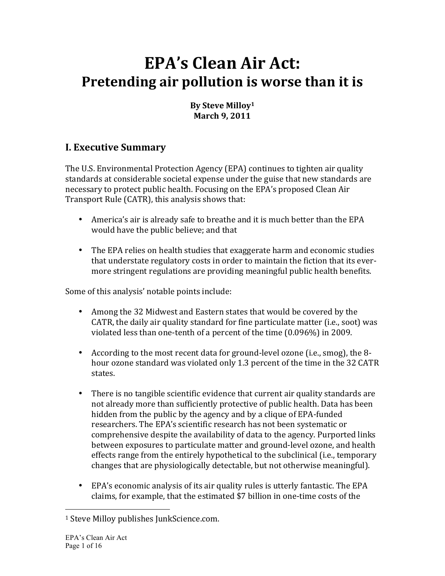# **EPA's Clean Air Act:** Pretending air pollution is worse than it is

#### By Steve Milloy<sup>1</sup> **March 9, 2011**

## **I. Executive Summary**

The U.S. Environmental Protection Agency (EPA) continues to tighten air quality standards at considerable societal expense under the guise that new standards are necessary to protect public health. Focusing on the EPA's proposed Clean Air Transport Rule (CATR), this analysis shows that:

- America's air is already safe to breathe and it is much better than the EPA would have the public believe; and that
- The EPA relies on health studies that exaggerate harm and economic studies that understate regulatory costs in order to maintain the fiction that its evermore stringent regulations are providing meaningful public health benefits.

Some of this analysis' notable points include:

- Among the 32 Midwest and Eastern states that would be covered by the CATR, the daily air quality standard for fine particulate matter (i.e., soot) was violated less than one-tenth of a percent of the time  $(0.096\%)$  in 2009.
- According to the most recent data for ground-level ozone (i.e., smog), the 8hour ozone standard was violated only 1.3 percent of the time in the 32 CATR states.
- There is no tangible scientific evidence that current air quality standards are not already more than sufficiently protective of public health. Data has been hidden from the public by the agency and by a clique of EPA-funded researchers. The EPA's scientific research has not been systematic or comprehensive despite the availability of data to the agency. Purported links between exposures to particulate matter and ground-level ozone, and health effects range from the entirely hypothetical to the subclinical (i.e., temporary changes that are physiologically detectable, but not otherwise meaningful).
- EPA's economic analysis of its air quality rules is utterly fantastic. The EPA claims, for example, that the estimated \$7 billion in one-time costs of the

<sup>&</sup>lt;sup>1</sup> Steve Milloy publishes JunkScience.com.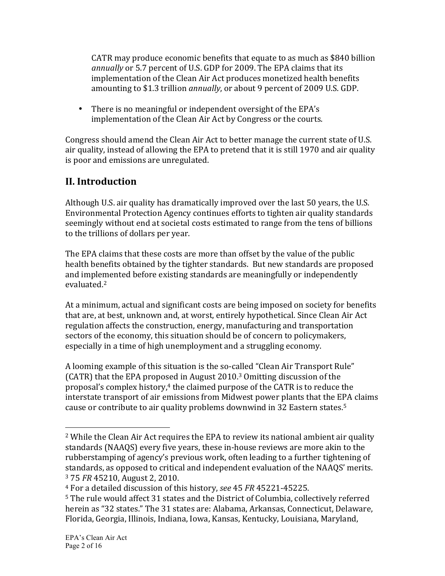CATR may produce economic benefits that equate to as much as \$840 billion annually or 5.7 percent of U.S. GDP for 2009. The EPA claims that its implementation of the Clean Air Act produces monetized health benefits amounting to \$1.3 trillion *annually*, or about 9 percent of 2009 U.S. GDP.

• There is no meaningful or independent oversight of the EPA's implementation of the Clean Air Act by Congress or the courts.

Congress should amend the Clean Air Act to better manage the current state of U.S. air quality, instead of allowing the EPA to pretend that it is still 1970 and air quality is poor and emissions are unregulated.

## **II.** Introduction

Although U.S. air quality has dramatically improved over the last 50 years, the U.S. Environmental Protection Agency continues efforts to tighten air quality standards seemingly without end at societal costs estimated to range from the tens of billions to the trillions of dollars per year.

The EPA claims that these costs are more than offset by the value of the public health benefits obtained by the tighter standards. But new standards are proposed and implemented before existing standards are meaningfully or independently evaluated. 2

At a minimum, actual and significant costs are being imposed on society for benefits that are, at best, unknown and, at worst, entirely hypothetical. Since Clean Air Act regulation affects the construction, energy, manufacturing and transportation sectors of the economy, this situation should be of concern to policymakers, especially in a time of high unemployment and a struggling economy.

A looming example of this situation is the so-called "Clean Air Transport Rule" (CATR) that the EPA proposed in August  $2010<sup>3</sup>$  Omitting discussion of the proposal's complex history,<sup>4</sup> the claimed purpose of the CATR is to reduce the interstate transport of air emissions from Midwest power plants that the EPA claims cause or contribute to air quality problems downwind in 32 Eastern states.<sup>5</sup>

<sup>&</sup>lt;sup>2</sup> While the Clean Air Act requires the EPA to review its national ambient air quality standards (NAAQS) every five years, these in-house reviews are more akin to the rubberstamping of agency's previous work, often leading to a further tightening of standards, as opposed to critical and independent evaluation of the NAAQS' merits. <sup>3</sup> 75 *FR* 45210, August 2, 2010.

<sup>&</sup>lt;sup>4</sup> For a detailed discussion of this history, *see* 45 *FR* 45221-45225.

<sup>&</sup>lt;sup>5</sup> The rule would affect 31 states and the District of Columbia, collectively referred herein as "32 states." The 31 states are: Alabama, Arkansas, Connecticut, Delaware, Florida, Georgia, Illinois, Indiana, Iowa, Kansas, Kentucky, Louisiana, Maryland,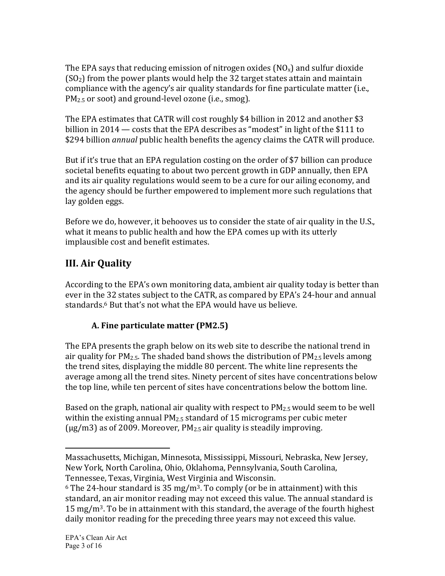The EPA says that reducing emission of nitrogen oxides ( $NO<sub>x</sub>$ ) and sulfur dioxide  $(SO<sub>2</sub>)$  from the power plants would help the 32 target states attain and maintain compliance with the agency's air quality standards for fine particulate matter (i.e.,  $PM<sub>2.5</sub>$  or soot) and ground-level ozone (i.e., smog).

The EPA estimates that CATR will cost roughly \$4 billion in 2012 and another \$3 billion in 2014 — costs that the EPA describes as "modest" in light of the \$111 to \$294 billion *annual* public health benefits the agency claims the CATR will produce.

But if it's true that an EPA regulation costing on the order of \$7 billion can produce societal benefits equating to about two percent growth in GDP annually, then EPA and its air quality regulations would seem to be a cure for our ailing economy, and the agency should be further empowered to implement more such regulations that lay golden eggs.

Before we do, however, it behooves us to consider the state of air quality in the U.S., what it means to public health and how the EPA comes up with its utterly implausible cost and benefit estimates.

## **III. Air Quality**

According to the EPA's own monitoring data, ambient air quality today is better than ever in the 32 states subject to the CATR, as compared by EPA's 24-hour and annual standards.<sup>6</sup> But that's not what the EPA would have us believe.

### **A. Fine particulate matter (PM2.5)**

The EPA presents the graph below on its web site to describe the national trend in air quality for  $PM_{2.5}$ . The shaded band shows the distribution of  $PM_{2.5}$  levels among the trend sites, displaying the middle 80 percent. The white line represents the average among all the trend sites. Ninety percent of sites have concentrations below the top line, while ten percent of sites have concentrations below the bottom line.

Based on the graph, national air quality with respect to  $PM_{2.5}$  would seem to be well within the existing annual  $PM_{2.5}$  standard of 15 micrograms per cubic meter ( $\mu$ g/m3) as of 2009. Moreover, PM<sub>2.5</sub> air quality is steadily improving.

Massachusetts, Michigan, Minnesota, Mississippi, Missouri, Nebraska, New Jersey, New York, North Carolina, Ohio, Oklahoma, Pennsylvania, South Carolina, Tennessee, Texas, Virginia, West Virginia and Wisconsin.

 $6$  The 24-hour standard is 35 mg/m<sup>3</sup>. To comply (or be in attainment) with this standard, an air monitor reading may not exceed this value. The annual standard is 15 mg/m<sup>3</sup>. To be in attainment with this standard, the average of the fourth highest daily monitor reading for the preceding three years may not exceed this value.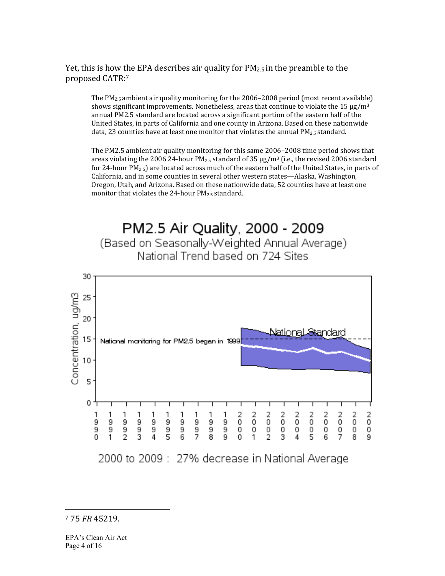#### Yet, this is how the EPA describes air quality for  $PM_{2.5}$  in the preamble to the proposed CATR:7

The  $PM_2$ <sub>5</sub> ambient air quality monitoring for the 2006–2008 period (most recent available) shows significant improvements. Nonetheless, areas that continue to violate the 15  $\mu$ g/m<sup>3</sup> annual PM2.5 standard are located across a significant portion of the eastern half of the United States, in parts of California and one county in Arizona. Based on these nationwide data, 23 counties have at least one monitor that violates the annual PM<sub>2.5</sub> standard.

The PM2.5 ambient air quality monitoring for this same 2006–2008 time period shows that areas violating the 2006 24-hour  $PM_{2.5}$  standard of 35  $\mu$ g/m<sup>3</sup> (i.e., the revised 2006 standard for 24-hour  $PM_{2.5}$ ) are located across much of the eastern half of the United States, in parts of California, and in some counties in several other western states—Alaska, Washington, Oregon, Utah, and Arizona. Based on these nationwide data, 52 counties have at least one monitor that violates the 24-hour  $PM_{2.5}$  standard.

# PM2.5 Air Quality, 2000 - 2009 (Based on Seasonally-Weighted Annual Average) National Trend based on 724 Sites



7!75!*FR* 45219.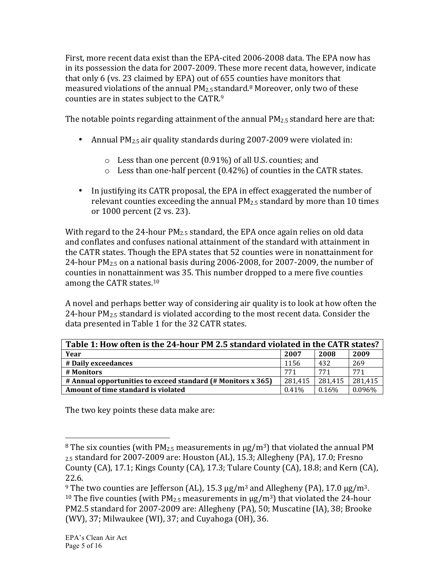First, more recent data exist than the EPA-cited 2006-2008 data. The EPA now has in its possession the data for 2007-2009. These more recent data, however, indicate that only 6 (vs. 23 claimed by EPA) out of  $655$  counties have monitors that measured violations of the annual  $PM_{2.5}$  standard.<sup>8</sup> Moreover, only two of these counties are in states subject to the CATR.<sup>9</sup>

The notable points regarding attainment of the annual  $PM_{2.5}$  standard here are that:

- Annual  $PM_{2.5}$  air quality standards during 2007-2009 were violated in:
	- $\circ$  Less than one percent (0.91%) of all U.S. counties; and
	- $\circ$  Less than one-half percent (0.42%) of counties in the CATR states.
- In justifying its CATR proposal, the EPA in effect exaggerated the number of relevant counties exceeding the annual  $PM_{2.5}$  standard by more than 10 times or 1000 percent (2 vs. 23).

With regard to the 24-hour  $PM_{2.5}$  standard, the EPA once again relies on old data and conflates and confuses national attainment of the standard with attainment in the CATR states. Though the EPA states that 52 counties were in nonattainment for 24-hour  $PM_{2.5}$  on a national basis during 2006-2008, for 2007-2009, the number of counties in nonattainment was 35. This number dropped to a mere five counties among the CATR states.<sup>10</sup>

A novel and perhaps better way of considering air quality is to look at how often the 24-hour  $PM_{2.5}$  standard is violated according to the most recent data. Consider the data presented in Table 1 for the 32 CATR states.

| Table 1: How often is the 24-hour PM 2.5 standard violated in the CATR states? |          |         |         |  |
|--------------------------------------------------------------------------------|----------|---------|---------|--|
| Year                                                                           | 2007     | 2008    | 2009    |  |
| # Daily exceedances                                                            | 1156     | 432     | 269     |  |
| # Monitors                                                                     | 771      | 771     | 771     |  |
| # Annual opportunities to exceed standard (# Monitors x 365)                   | 281.415  | 281,415 | 281,415 |  |
| Amount of time standard is violated                                            | $0.41\%$ | 0.16%   | 0.096%  |  |

The two key points these data make are:

<sup>!!!!!!!!!!!!!!!!!!!!!!!!!!!!!!!!!!!!!!!!!!!!!!!!!!!!!!!</sup> <sup>8</sup> The six counties (with PM<sub>2.5</sub> measurements in  $\mu$ g/m<sup>3</sup>) that violated the annual PM  $_{2.5}$  standard for 2007-2009 are: Houston (AL), 15.3; Allegheny (PA), 17.0; Fresno County (CA), 17.1; Kings County (CA), 17.3; Tulare County (CA), 18.8; and Kern (CA), 22.6.

<sup>&</sup>lt;sup>9</sup> The two counties are Jefferson (AL), 15.3  $\mu$ g/m<sup>3</sup> and Allegheny (PA), 17.0  $\mu$ g/m<sup>3</sup>. <sup>10</sup> The five counties (with  $PM_{2.5}$  measurements in  $\mu$ g/m<sup>3</sup>) that violated the 24-hour PM2.5 standard for 2007-2009 are: Allegheny (PA), 50; Muscatine (IA), 38; Brooke (WV), 37; Milwaukee (WI), 37; and Cuyahoga (OH), 36.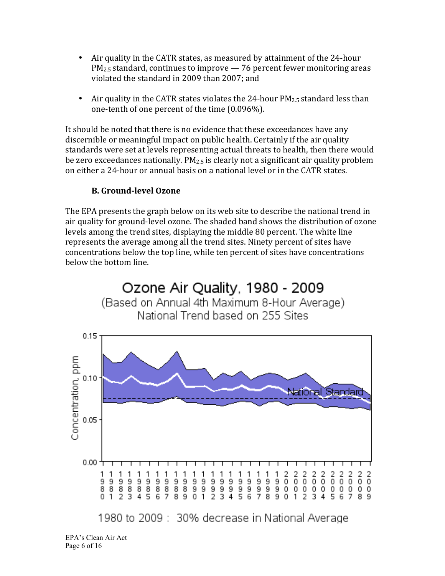- Air quality in the CATR states, as measured by attainment of the 24-hour  $PM_{2.5}$  standard, continues to improve  $-76$  percent fewer monitoring areas violated the standard in 2009 than 2007; and
- Air quality in the CATR states violates the 24-hour  $PM_{2.5}$  standard less than one-tenth of one percent of the time  $(0.096\%)$ .

It should be noted that there is no evidence that these exceedances have any discernible or meaningful impact on public health. Certainly if the air quality standards were set at levels representing actual threats to health, then there would be zero exceedances nationally.  $PM_{2.5}$  is clearly not a significant air quality problem on either a 24-hour or annual basis on a national level or in the CATR states.

#### **B.** Ground-level Ozone

The EPA presents the graph below on its web site to describe the national trend in air quality for ground-level ozone. The shaded band shows the distribution of ozone levels among the trend sites, displaying the middle 80 percent. The white line represents the average among all the trend sites. Ninety percent of sites have concentrations below the top line, while ten percent of sites have concentrations below the bottom line.



EPA's Clean Air Act Page 6 of 16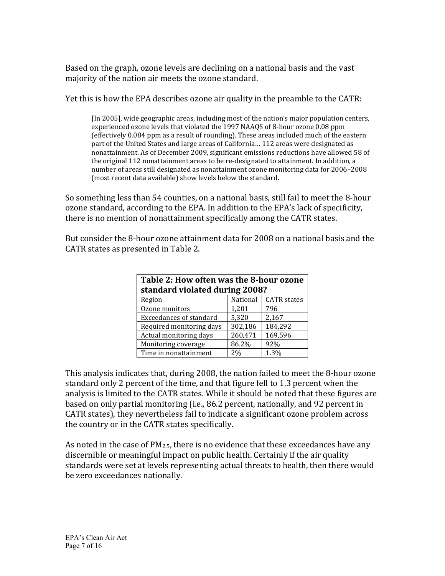Based on the graph, ozone levels are declining on a national basis and the vast majority of the nation air meets the ozone standard.

Yet this is how the EPA describes ozone air quality in the preamble to the CATR:

[In 2005], wide geographic areas, including most of the nation's major population centers, experienced ozone levels that violated the 1997 NAAQS of 8-hour ozone 0.08 ppm (effectively 0.084 ppm as a result of rounding). These areas included much of the eastern part of the United States and large areas of California... 112 areas were designated as nonattainment. As of December 2009, significant emissions reductions have allowed 58 of the original 112 nonattainment areas to be re-designated to attainment. In addition, a number of areas still designated as nonattainment ozone monitoring data for 2006–2008 (most recent data available) show levels below the standard.

So something less than 54 counties, on a national basis, still fail to meet the 8-hour ozone standard, according to the EPA. In addition to the EPA's lack of specificity, there is no mention of nonattainment specifically among the CATR states.

But consider the 8-hour ozone attainment data for 2008 on a national basis and the CATR states as presented in Table 2.

| Table 2: How often was the 8-hour ozone<br>standard violated during 2008? |          |                    |  |  |
|---------------------------------------------------------------------------|----------|--------------------|--|--|
| Region                                                                    | National | <b>CATR</b> states |  |  |
| Ozone monitors                                                            | 1,201    | 796                |  |  |
| <b>Exceedances of standard</b>                                            | 5,320    | 2,167              |  |  |
| Required monitoring days                                                  | 302,186  | 184,292            |  |  |
| Actual monitoring days                                                    | 260,471  | 169,596            |  |  |
| Monitoring coverage                                                       | 86.2%    | 92%                |  |  |
| Time in nonattainment                                                     | 2%       | 1.3%               |  |  |

This analysis indicates that, during 2008, the nation failed to meet the 8-hour ozone standard only 2 percent of the time, and that figure fell to 1.3 percent when the analysis is limited to the CATR states. While it should be noted that these figures are based on only partial monitoring (i.e., 86.2 percent, nationally, and 92 percent in CATR states), they nevertheless fail to indicate a significant ozone problem across the country or in the CATR states specifically.

As noted in the case of  $PM_{2.5}$ , there is no evidence that these exceedances have any discernible or meaningful impact on public health. Certainly if the air quality standards were set at levels representing actual threats to health, then there would be zero exceedances nationally.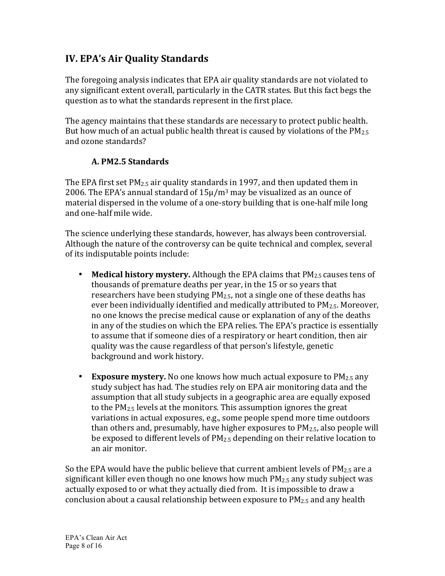## **IV. EPA's Air Quality Standards**

The foregoing analysis indicates that EPA air quality standards are not violated to any significant extent overall, particularly in the CATR states. But this fact begs the question as to what the standards represent in the first place.

The agency maintains that these standards are necessary to protect public health. But how much of an actual public health threat is caused by violations of the  $PM_{2.5}$ and ozone standards?

#### **A.&PM2.5&Standards**

The EPA first set  $PM_{2.5}$  air quality standards in 1997, and then updated them in 2006. The EPA's annual standard of  $15\mu/m^3$  may be visualized as an ounce of material dispersed in the volume of a one-story building that is one-half mile long and one-half mile wide.

The science underlying these standards, however, has always been controversial. Although the nature of the controversy can be quite technical and complex, several of its indisputable points include:

- **Medical history mystery.** Although the EPA claims that PM<sub>2.5</sub> causes tens of thousands of premature deaths per year, in the 15 or so years that researchers have been studying  $PM_{2.5}$ , not a single one of these deaths has ever been individually identified and medically attributed to  $PM_{2.5}$ . Moreover, no one knows the precise medical cause or explanation of any of the deaths in any of the studies on which the EPA relies. The EPA's practice is essentially to assume that if someone dies of a respiratory or heart condition, then air quality was the cause regardless of that person's lifestyle, genetic background and work history.
- **Exposure mystery.** No one knows how much actual exposure to  $PM_{2.5}$  any study subject has had. The studies rely on EPA air monitoring data and the assumption that all study subjects in a geographic area are equally exposed to the  $PM_{2.5}$  levels at the monitors. This assumption ignores the great variations in actual exposures, e.g., some people spend more time outdoors than others and, presumably, have higher exposures to  $PM_{2.5}$ , also people will be exposed to different levels of  $PM_{2.5}$  depending on their relative location to an air monitor.

So the EPA would have the public believe that current ambient levels of  $PM_{2.5}$  are a significant killer even though no one knows how much  $PM_{2.5}$  any study subject was actually exposed to or what they actually died from. It is impossible to draw a conclusion about a causal relationship between exposure to  $PM_{2.5}$  and any health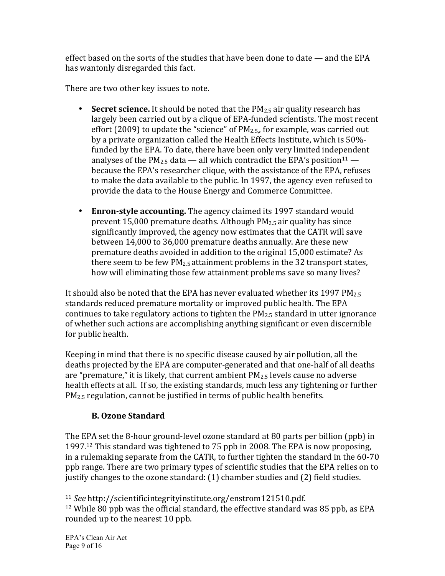effect based on the sorts of the studies that have been done to date — and the EPA has wantonly disregarded this fact.

There are two other key issues to note.

- **Secret science.** It should be noted that the PM<sub>2.5</sub> air quality research has largely been carried out by a clique of EPA-funded scientists. The most recent effort (2009) to update the "science" of  $PM_{2.5}$ , for example, was carried out by a private organization called the Health Effects Institute, which is 50%funded by the EPA. To date, there have been only very limited independent analyses of the PM<sub>2.5</sub> data — all which contradict the EPA's position<sup>11</sup> because the EPA's researcher clique, with the assistance of the EPA, refuses to make the data available to the public. In 1997, the agency even refused to provide the data to the House Energy and Commerce Committee.
- Enron-style accounting. The agency claimed its 1997 standard would prevent 15,000 premature deaths. Although  $PM_{2.5}$  air quality has since significantly improved, the agency now estimates that the CATR will save between 14,000 to 36,000 premature deaths annually. Are these new premature deaths avoided in addition to the original 15,000 estimate? As there seem to be few  $PM_{2.5}$  attainment problems in the 32 transport states, how will eliminating those few attainment problems save so many lives?

It should also be noted that the EPA has never evaluated whether its 1997  $PM_{2.5}$ standards reduced premature mortality or improved public health. The EPA continues to take regulatory actions to tighten the  $PM_{2.5}$  standard in utter ignorance of whether such actions are accomplishing anything significant or even discernible for public health.

Keeping in mind that there is no specific disease caused by air pollution, all the deaths projected by the EPA are computer-generated and that one-half of all deaths are "premature," it is likely, that current ambient  $PM_{2.5}$  levels cause no adverse health effects at all. If so, the existing standards, much less any tightening or further  $PM_{2.5}$  regulation, cannot be justified in terms of public health benefits.

## **B. Ozone Standard**

!!!!!!!!!!!!!!!!!!!!!!!!!!!!!!!!!!!!!!!!!!!!!!!!!!!!!!!

The EPA set the 8-hour ground-level ozone standard at 80 parts per billion (ppb) in 1997.<sup>12</sup> This standard was tightened to 75 ppb in 2008. The EPA is now proposing, in a rulemaking separate from the CATR, to further tighten the standard in the  $60-70$ ppb range. There are two primary types of scientific studies that the EPA relies on to justify changes to the ozone standard: (1) chamber studies and (2) field studies.

<sup>11</sup> *See* http://scientificintegrityinstitute.org/enstrom121510.pdf.

 $12$  While 80 ppb was the official standard, the effective standard was 85 ppb, as EPA rounded up to the nearest 10 ppb.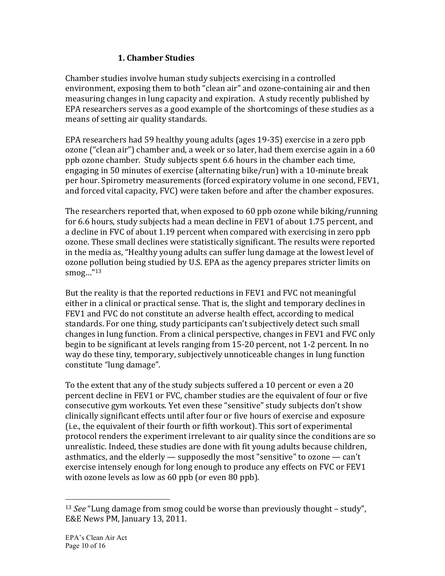#### **1.&Chamber&Studies**

Chamber studies involve human study subjects exercising in a controlled environment, exposing them to both "clean air" and ozone-containing air and then measuring changes in lung capacity and expiration. A study recently published by EPA researchers serves as a good example of the shortcomings of these studies as a means of setting air quality standards.

EPA researchers had 59 healthy young adults (ages 19-35) exercise in a zero ppb ozone ("clean air") chamber and, a week or so later, had them exercise again in a  $60$ ppb ozone chamber. Study subjects spent 6.6 hours in the chamber each time, engaging in 50 minutes of exercise (alternating bike/run) with a 10-minute break per hour. Spirometry measurements (forced expiratory volume in one second, FEV1, and forced vital capacity, FVC) were taken before and after the chamber exposures.

The researchers reported that, when exposed to 60 ppb ozone while biking/running for 6.6 hours, study subjects had a mean decline in FEV1 of about 1.75 percent, and a decline in FVC of about 1.19 percent when compared with exercising in zero ppb ozone. These small declines were statistically significant. The results were reported in the media as, "Healthy young adults can suffer lung damage at the lowest level of ozone pollution being studied by U.S. EPA as the agency prepares stricter limits on smog... $^{\prime\prime}$ <sup>13</sup>

But the reality is that the reported reductions in FEV1 and FVC not meaningful either in a clinical or practical sense. That is, the slight and temporary declines in FEV1 and FVC do not constitute an adverse health effect, according to medical standards. For one thing, study participants can't subjectively detect such small changes in lung function. From a clinical perspective, changes in FEV1 and FVC only begin to be significant at levels ranging from 15-20 percent, not 1-2 percent. In no way do these tiny, temporary, subjectively unnoticeable changes in lung function constitute "lung damage".

To the extent that any of the study subjects suffered a 10 percent or even a 20 percent decline in FEV1 or FVC, chamber studies are the equivalent of four or five consecutive gym workouts. Yet even these "sensitive" study subjects don't show clinically significant effects until after four or five hours of exercise and exposure (i.e., the equivalent of their fourth or fifth workout). This sort of experimental protocol renders the experiment irrelevant to air quality since the conditions are so unrealistic. Indeed, these studies are done with fit young adults because children, asthmatics, and the elderly — supposedly the most "sensitive" to ozone — can't exercise intensely enough for long enough to produce any effects on FVC or FEV1 with ozone levels as low as  $60$  ppb (or even  $80$  ppb).

<sup>&</sup>lt;sup>13</sup> *See* "Lung damage from smog could be worse than previously thought – study", E&E News PM, January 13, 2011.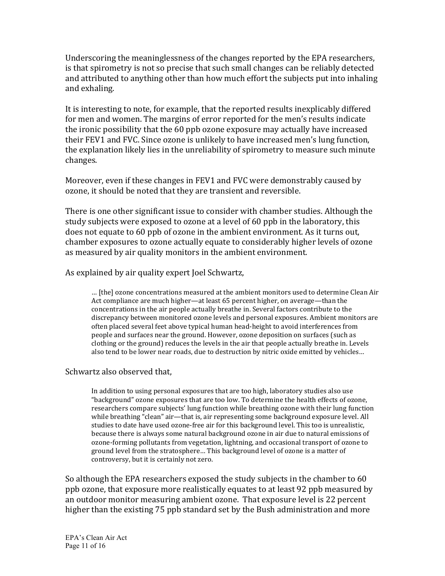Underscoring the meaninglessness of the changes reported by the EPA researchers, is that spirometry is not so precise that such small changes can be reliably detected and attributed to anything other than how much effort the subjects put into inhaling and exhaling.

It is interesting to note, for example, that the reported results inexplicably differed for men and women. The margins of error reported for the men's results indicate the ironic possibility that the 60 ppb ozone exposure may actually have increased their FEV1 and FVC. Since ozone is unlikely to have increased men's lung function, the explanation likely lies in the unreliability of spirometry to measure such minute changes.

Moreover, even if these changes in FEV1 and FVC were demonstrably caused by ozone, it should be noted that they are transient and reversible.

There is one other significant issue to consider with chamber studies. Although the study subjects were exposed to ozone at a level of 60 ppb in the laboratory, this does not equate to 60 ppb of ozone in the ambient environment. As it turns out, chamber exposures to ozone actually equate to considerably higher levels of ozone as measured by air quality monitors in the ambient environment.

As explained by air quality expert Joel Schwartz,

… [the] ozone concentrations measured at the ambient monitors used to determine Clean Air Act compliance are much higher—at least 65 percent higher, on average—than the concentrations in the air people actually breathe in. Several factors contribute to the discrepancy between monitored ozone levels and personal exposures. Ambient monitors are often placed several feet above typical human head-height to avoid interferences from people and surfaces near the ground. However, ozone deposition on surfaces (such as clothing or the ground) reduces the levels in the air that people actually breathe in. Levels also tend to be lower near roads, due to destruction by nitric oxide emitted by vehicles...

#### Schwartz also observed that,

In addition to using personal exposures that are too high, laboratory studies also use "background" ozone exposures that are too low. To determine the health effects of ozone, researchers compare subjects' lung function while breathing ozone with their lung function while breathing "clean" air—that is, air representing some background exposure level. All studies to date have used ozone-free air for this background level. This too is unrealistic, because there is always some natural background ozone in air due to natural emissions of ozone-forming pollutants from vegetation, lightning, and occasional transport of ozone to ground level from the stratosphere... This background level of ozone is a matter of controversy, but it is certainly not zero.

So although the EPA researchers exposed the study subjects in the chamber to 60 ppb ozone, that exposure more realistically equates to at least 92 ppb measured by an outdoor monitor measuring ambient ozone. That exposure level is 22 percent higher than the existing 75 ppb standard set by the Bush administration and more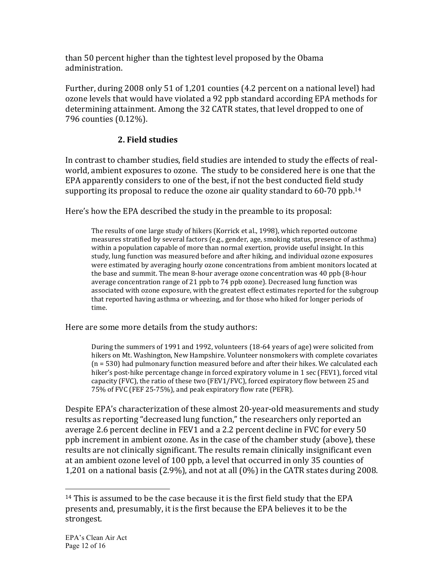than 50 percent higher than the tightest level proposed by the Obama administration.

Further, during 2008 only 51 of 1,201 counties (4.2 percent on a national level) had ozone levels that would have violated a 92 ppb standard according EPA methods for determining attainment. Among the 32 CATR states, that level dropped to one of 796 counties (0.12%).

#### **2. Field studies**

In contrast to chamber studies, field studies are intended to study the effects of realworld, ambient exposures to ozone. The study to be considered here is one that the EPA apparently considers to one of the best, if not the best conducted field study supporting its proposal to reduce the ozone air quality standard to  $60-70$  ppb.<sup>14</sup>

Here's how the EPA described the study in the preamble to its proposal:

The results of one large study of hikers (Korrick et al., 1998), which reported outcome measures stratified by several factors (e.g., gender, age, smoking status, presence of asthma) within a population capable of more than normal exertion, provide useful insight. In this study, lung function was measured before and after hiking, and individual ozone exposures were estimated by averaging hourly ozone concentrations from ambient monitors located at the base and summit. The mean 8-hour average ozone concentration was  $40$  ppb  $(8 \text{-} \text{hour})$ average concentration range of 21 ppb to 74 ppb ozone). Decreased lung function was associated with ozone exposure, with the greatest effect estimates reported for the subgroup that reported having asthma or wheezing, and for those who hiked for longer periods of time.

Here are some more details from the study authors:

During the summers of 1991 and 1992, volunteers (18-64 years of age) were solicited from hikers on Mt. Washington, New Hampshire. Volunteer nonsmokers with complete covariates  $(n = 530)$  had pulmonary function measured before and after their hikes. We calculated each hiker's post-hike percentage change in forced expiratory volume in 1 sec (FEV1), forced vital capacity (FVC), the ratio of these two (FEV1/FVC), forced expiratory flow between 25 and 75% of FVC (FEF 25-75%), and peak expiratory flow rate (PEFR).

Despite EPA's characterization of these almost 20-year-old measurements and study results as reporting "decreased lung function," the researchers only reported an average 2.6 percent decline in FEV1 and a 2.2 percent decline in FVC for every 50 ppb increment in ambient ozone. As in the case of the chamber study (above), these results are not clinically significant. The results remain clinically insignificant even at an ambient ozone level of 100 ppb, a level that occurred in only 35 counties of 1,201 on a national basis (2.9%), and not at all (0%) in the CATR states during 2008.

<sup>&</sup>lt;sup>14</sup> This is assumed to be the case because it is the first field study that the EPA presents and, presumably, it is the first because the EPA believes it to be the strongest.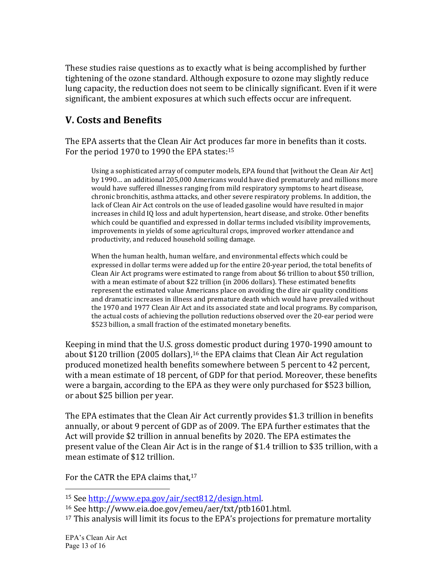These studies raise questions as to exactly what is being accomplished by further tightening of the ozone standard. Although exposure to ozone may slightly reduce lung capacity, the reduction does not seem to be clinically significant. Even if it were significant, the ambient exposures at which such effects occur are infrequent.

## **V.** Costs and Benefits

The EPA asserts that the Clean Air Act produces far more in benefits than it costs. For the period 1970 to 1990 the EPA states:  $15$ 

Using a sophisticated array of computer models, EPA found that [without the Clean Air Act] by 1990… an additional 205,000 Americans would have died prematurely and millions more would have suffered illnesses ranging from mild respiratory symptoms to heart disease, chronic bronchitis, asthma attacks, and other severe respiratory problems. In addition, the lack of Clean Air Act controls on the use of leaded gasoline would have resulted in major increases in child IQ loss and adult hypertension, heart disease, and stroke. Other benefits which could be quantified and expressed in dollar terms included visibility improvements, improvements in yields of some agricultural crops, improved worker attendance and productivity, and reduced household soiling damage.

When the human health, human welfare, and environmental effects which could be expressed in dollar terms were added up for the entire 20-year period, the total benefits of Clean Air Act programs were estimated to range from about \$6 trillion to about \$50 trillion, with a mean estimate of about \$22 trillion (in 2006 dollars). These estimated benefits represent the estimated value Americans place on avoiding the dire air quality conditions and dramatic increases in illness and premature death which would have prevailed without the 1970 and 1977 Clean Air Act and its associated state and local programs. By comparison, the actual costs of achieving the pollution reductions observed over the 20-ear period were \$523 billion, a small fraction of the estimated monetary benefits.

Keeping in mind that the U.S. gross domestic product during 1970-1990 amount to about \$120 trillion (2005 dollars),<sup>16</sup> the EPA claims that Clean Air Act regulation produced monetized health benefits somewhere between 5 percent to 42 percent, with a mean estimate of 18 percent, of GDP for that period. Moreover, these benefits were a bargain, according to the EPA as they were only purchased for \$523 billion, or about \$25 billion per year.

The EPA estimates that the Clean Air Act currently provides \$1.3 trillion in benefits annually, or about 9 percent of GDP as of 2009. The EPA further estimates that the Act will provide \$2 trillion in annual benefits by 2020. The EPA estimates the present value of the Clean Air Act is in the range of \$1.4 trillion to \$35 trillion, with a mean estimate of \$12 trillion.

For the CATR the EPA claims that,<sup>17</sup>

<sup>&</sup>lt;sup>15</sup> See http://www.epa.gov/air/sect812/design.html.

<sup>&</sup>lt;sup>16</sup> See http://www.eia.doe.gov/emeu/aer/txt/ptb1601.html.

 $17$  This analysis will limit its focus to the EPA's projections for premature mortality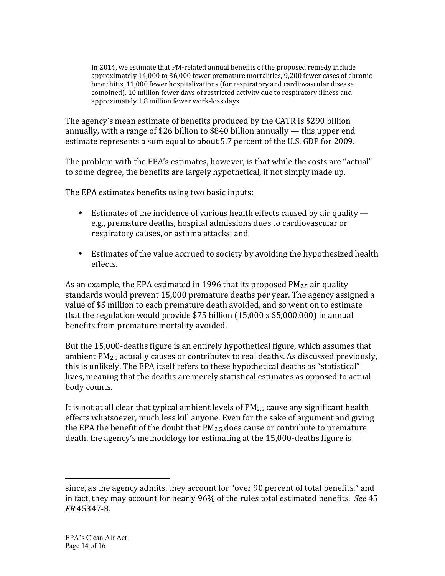In 2014, we estimate that PM-related annual benefits of the proposed remedy include approximately 14,000 to 36,000 fewer premature mortalities, 9,200 fewer cases of chronic bronchitis, 11,000 fewer hospitalizations (for respiratory and cardiovascular disease combined), 10 million fewer days of restricted activity due to respiratory illness and approximately 1.8 million fewer work-loss days.

The agency's mean estimate of benefits produced by the CATR is \$290 billion annually, with a range of \$26 billion to \$840 billion annually — this upper end estimate represents a sum equal to about 5.7 percent of the U.S. GDP for 2009.

The problem with the EPA's estimates, however, is that while the costs are "actual" to some degree, the benefits are largely hypothetical, if not simply made up.

The EPA estimates benefits using two basic inputs:

- Estimates of the incidence of various health effects caused by air quality e.g., premature deaths, hospital admissions dues to cardiovascular or respiratory causes, or asthma attacks; and
- Estimates of the value accrued to society by avoiding the hypothesized health effects.

As an example, the EPA estimated in 1996 that its proposed  $PM_{2.5}$  air quality standards would prevent 15,000 premature deaths per year. The agency assigned a value of \$5 million to each premature death avoided, and so went on to estimate that the regulation would provide  $$75$  billion (15,000 x  $$5,000,000$ ) in annual benefits from premature mortality avoided.

But the 15,000-deaths figure is an entirely hypothetical figure, which assumes that ambient  $PM_{2.5}$  actually causes or contributes to real deaths. As discussed previously, this is unlikely. The EPA itself refers to these hypothetical deaths as "statistical" lives, meaning that the deaths are merely statistical estimates as opposed to actual body counts.

It is not at all clear that typical ambient levels of  $PM_{2.5}$  cause any significant health effects whatsoever, much less kill anyone. Even for the sake of argument and giving the EPA the benefit of the doubt that  $PM_{2.5}$  does cause or contribute to premature death, the agency's methodology for estimating at the 15,000-deaths figure is

since, as the agency admits, they account for "over 90 percent of total benefits," and in fact, they may account for nearly 96% of the rules total estimated benefits. *See* 45 *FR* 45347-8.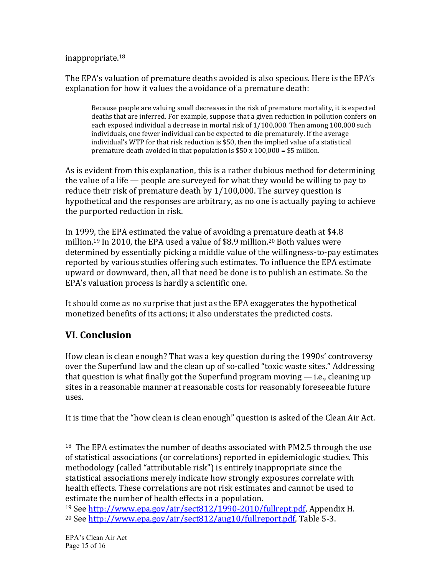inappropriate.18

The EPA's valuation of premature deaths avoided is also specious. Here is the EPA's explanation for how it values the avoidance of a premature death:

Because people are valuing small decreases in the risk of premature mortality, it is expected deaths that are inferred. For example, suppose that a given reduction in pollution confers on each exposed individual a decrease in mortal risk of  $1/100,000$ . Then among 100,000 such individuals, one fewer individual can be expected to die prematurely. If the average individual's WTP for that risk reduction is \$50, then the implied value of a statistical premature death avoided in that population is  $$50 x 100,000 = $5$  million.

As is evident from this explanation, this is a rather dubious method for determining the value of a life  $-$  people are surveyed for what they would be willing to pay to reduce their risk of premature death by  $1/100,000$ . The survey question is hypothetical and the responses are arbitrary, as no one is actually paying to achieve the purported reduction in risk.

In 1999, the EPA estimated the value of avoiding a premature death at  $$4.8$ million.<sup>19</sup> In 2010, the EPA used a value of \$8.9 million.<sup>20</sup> Both values were determined by essentially picking a middle value of the willingness-to-pay estimates reported by various studies offering such estimates. To influence the EPA estimate upward or downward, then, all that need be done is to publish an estimate. So the EPA's valuation process is hardly a scientific one.

It should come as no surprise that just as the EPA exaggerates the hypothetical monetized benefits of its actions; it also understates the predicted costs.

## **VI.&Conclusion**

!!!!!!!!!!!!!!!!!!!!!!!!!!!!!!!!!!!!!!!!!!!!!!!!!!!!!!!

How clean is clean enough? That was a key question during the 1990s' controversy over the Superfund law and the clean up of so-called "toxic waste sites." Addressing that question is what finally got the Superfund program moving  $-$  i.e., cleaning up sites in a reasonable manner at reasonable costs for reasonably foreseeable future uses.

It is time that the "how clean is clean enough" question is asked of the Clean Air Act.

<sup>&</sup>lt;sup>18</sup> The EPA estimates the number of deaths associated with PM2.5 through the use of statistical associations (or correlations) reported in epidemiologic studies. This methodology (called "attributable risk") is entirely inappropriate since the statistical associations merely indicate how strongly exposures correlate with health effects. These correlations are not risk estimates and cannot be used to estimate the number of health effects in a population.

<sup>&</sup>lt;sup>19</sup> See http://www.epa.gov/air/sect812/1990-2010/fullrept.pdf, Appendix H. <sup>20</sup> See http://www.epa.gov/air/sect812/aug10/fullreport.pdf, Table 5-3.